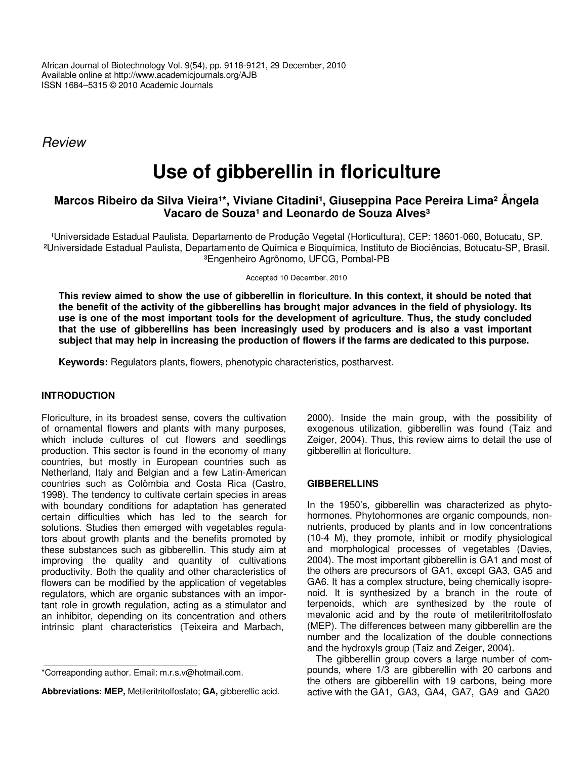African Journal of Biotechnology Vol. 9(54), pp. 9118-9121, 29 December, 2010 Available online at http://www.academicjournals.org/AJB ISSN 1684–5315 © 2010 Academic Journals

*Review*

# **Use of gibberellin in floriculture**

## **Marcos Ribeiro da Silva Vieira<sup>1\*</sup>, Viviane Citadini<sup>1</sup>, Giuseppina Pace Pereira Lima<sup>2</sup> Ângela Vacaro de Souza¹ and Leonardo de Souza Alves³**

<sup>1</sup>Universidade Estadual Paulista, Departamento de Produção Vegetal (Horticultura), CEP: 18601-060, Botucatu, SP. ²Universidade Estadual Paulista, Departamento de Química e Bioquímica, Instituto de Biociências, Botucatu-SP, Brasil. ³Engenheiro Agrônomo, UFCG, Pombal-PB

Accepted 10 December, 2010

This review aimed to show the use of gibberellin in floriculture. In this context, it should be noted that the benefit of the activity of the gibberellins has brought major advances in the field of physiology. Its **use is one of the most important tools for the development of agriculture. Thus, the study concluded that the use of gibberellins has been increasingly used by producers and is also a vast important** subject that may help in increasing the production of flowers if the farms are dedicated to this purpose.

**Keywords:** Regulators plants, flowers, phenotypic characteristics, postharvest.

### **INTRODUCTION**

Floriculture, in its broadest sense, covers the cultivation of ornamental flowers and plants with many purposes, which include cultures of cut flowers and seedlings production. This sector is found in the economy of many countries, but mostly in European countries such as Netherland, Italy and Belgian and a few Latin-American countries such as Colômbia and Costa Rica (Castro, 1998). The tendency to cultivate certain species in areas with boundary conditions for adaptation has generated certain difficulties which has led to the search for solutions. Studies then emerged with vegetables regulators about growth plants and the benefits promoted by these substances such as gibberellin. This study aim at improving the quality and quantity of cultivations productivity. Both the quality and other characteristics of flowers can be modified by the application of vegetables regulators, which are organic substances with an important role in growth regulation, acting as a stimulator and an inhibitor, depending on its concentration and others intrinsic plant characteristics (Teixeira and Marbach,

**Abbreviations: MEP,** Metileritritolfosfato; **GA,** gibberellic acid.

2000). Inside the main group, with the possibility of exogenous utilization, gibberellin was found (Taiz and Zeiger, 2004). Thus, this review aims to detail the use of gibberellin at floriculture.

#### **GIBBERELLINS**

In the 1950's, gibberellin was characterized as phytohormones. Phytohormones are organic compounds, nonnutrients, produced by plants and in low concentrations (10-4 M), they promote, inhibit or modify physiological and morphological processes of vegetables (Davies, 2004). The most important gibberellin is GA1 and most of the others are precursors of GA1, except GA3, GA5 and GA6. It has a complex structure, being chemically isoprenoid. It is synthesized by a branch in the route of terpenoids, which are synthesized by the route of mevalonic acid and by the route of metileritritolfosfato (MEP). The differences between many gibberellin are the number and the localization of the double connections and the hydroxyls group (Taiz and Zeiger, 2004).

The gibberellin group covers a large number of compounds, where 1/3 are gibberellin with 20 carbons and the others are gibberellin with 19 carbons, being more active with the GA1, GA3, GA4, GA7, GA9 and GA20

<sup>\*</sup>Correaponding author. Email: m.r.s.v@hotmail.com.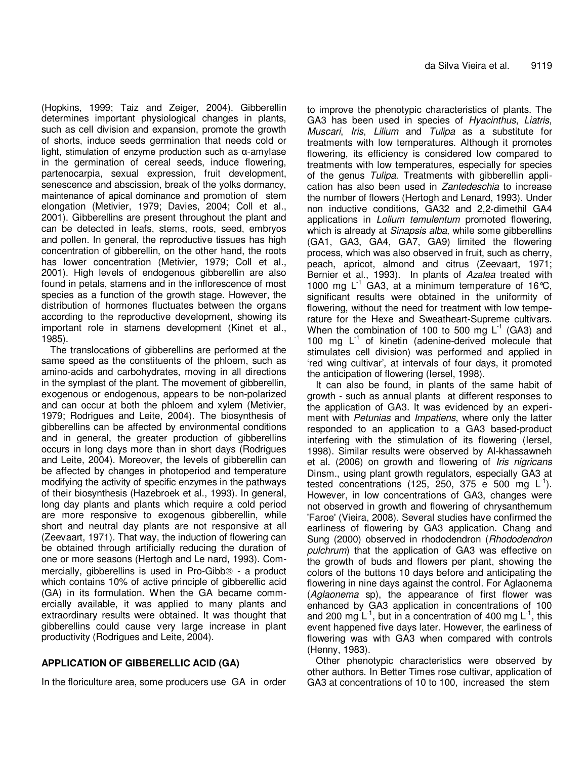(Hopkins, 1999; Taiz and Zeiger, 2004). Gibberellin determines important physiological changes in plants, such as cell division and expansion, promote the growth of shorts, induce seeds germination that needs cold or light, stimulation of enzyme production such as  $\alpha$ -amylase in the germination of cereal seeds, induce flowering, partenocarpia, sexual expression, fruit development, senescence and abscission, break of the yolks dormancy, maintenance of apical dominance and promotion of stem elongation (Metivier, 1979; Davies, 2004; Coll et al., 2001). Gibberellins are present throughout the plant and can be detected in leafs, stems, roots, seed, embryos and pollen. In general, the reproductive tissues has high concentration of gibberellin, on the other hand, the roots has lower concentration (Metivier, 1979; Coll et al., 2001). High levels of endogenous gibberellin are also found in petals, stamens and in the inflorescence of most species as a function of the growth stage. However, the distribution of hormones fluctuates between the organs according to the reproductive development, showing its important role in stamens development (Kinet et al., 1985).

The translocations of gibberellins are performed at the same speed as the constituents of the phloem, such as amino-acids and carbohydrates, moving in all directions in the symplast of the plant. The movement of gibberellin, exogenous or endogenous, appears to be non-polarized and can occur at both the phloem and xylem (Metivier, 1979; Rodrigues and Leite, 2004). The biosynthesis of gibberellins can be affected by environmental conditions and in general, the greater production of gibberellins occurs in long days more than in short days (Rodrigues and Leite, 2004). Moreover, the levels of gibberellin can be affected by changes in photoperiod and temperature modifying the activity of specific enzymes in the pathways of their biosynthesis (Hazebroek et al., 1993). In general, long day plants and plants which require a cold period are more responsive to exogenous gibberellin, while short and neutral day plants are not responsive at all (Zeevaart, 1971). That way, the induction of flowering can be obtained through artificially reducing the duration of one or more seasons (Hertogh and Le nard, 1993). Commercially, gibberellins is used in Pro-Gibb $\odot$  - a product which contains 10% of active principle of gibberellic acid (GA) in its formulation. When the GA became commercially available, it was applied to many plants and extraordinary results were obtained. It was thought that gibberellins could cause very large increase in plant productivity (Rodrigues and Leite, 2004).

### **APPLICATION OF GIBBERELLIC ACID (GA)**

In the floriculture area, some producers use GA in order

to improve the phenotypic characteristics of plants. The GA3 has been used in species of *Hyacinthus*, *Liatris*, *Muscari*, *Iris*, *Lilium* and *Tulipa* as a substitute for treatments with low temperatures. Although it promotes flowering, its efficiency is considered low compared to treatments with low temperatures, especially for species of the genus *Tulipa*. Treatments with gibberellin application has also been used in *Zantedeschia* to increase the number of flowers (Hertogh and Lenard, 1993). Under non inductive conditions, GA32 and 2,2-dimethil GA4 applications in *Lolium temulentum* promoted flowering, which is already at *Sinapsis alba,* while some gibberellins (GA1, GA3, GA4, GA7, GA9) limited the flowering process, which was also observed in fruit, such as cherry, peach, apricot, almond and citrus (Zeevaart, 1971; Bernier et al., 1993). In plants of *Azalea* treated with 1000 mg  $L^{-1}$  GA3, at a minimum temperature of 16°C, significant results were obtained in the uniformity of flowering, without the need for treatment with low temperature for the Hexe and Sweatheart-Supreme cultivars. When the combination of 100 to 500 mg  $L^{-1}$  (GA3) and 100 mg L<sup>-1</sup> of kinetin (adenine-derived molecule that stimulates cell division) was performed and applied in 'red wing cultivar', at intervals of four days, it promoted the anticipation of flowering (Iersel, 1998).

It can also be found, in plants of the same habit of growth - such as annual plants at different responses to the application of GA3. It was evidenced by an experiment with *Petunias* and *Impatiens*, where only the latter responded to an application to a GA3 based-product interfering with the stimulation of its flowering (Iersel, 1998). Similar results were observed by Al-khassawneh et al. (2006) on growth and flowering of *Iris nigricans* Dinsm., using plant growth regulators, especially GA3 at tested concentrations (125, 250, 375 e 500 mg  $L^{-1}$ ). However, in low concentrations of GA3, changes were not observed in growth and flowering of chrysanthemum 'Faroe' (Vieira, 2008). Several studies have confirmed the earliness of flowering by GA3 application. Chang and Sung (2000) observed in rhododendron (*Rhododendron pulchrum*) that the application of GA3 was effective on the growth of buds and flowers per plant, showing the colors of the buttons 10 days before and anticipating the flowering in nine days against the control. For Aglaonema (*Aglaonema* sp), the appearance of first flower was enhanced by GA3 application in concentrations of 100 and 200 mg  $L^{-1}$ , but in a concentration of 400 mg  $L^{-1}$ , this event happened five days later. However, the earliness of flowering was with GA3 when compared with controls (Henny, 1983).

Other phenotypic characteristics were observed by other authors. In Better Times rose cultivar, application of GA3 at concentrations of 10 to 100, increased the stem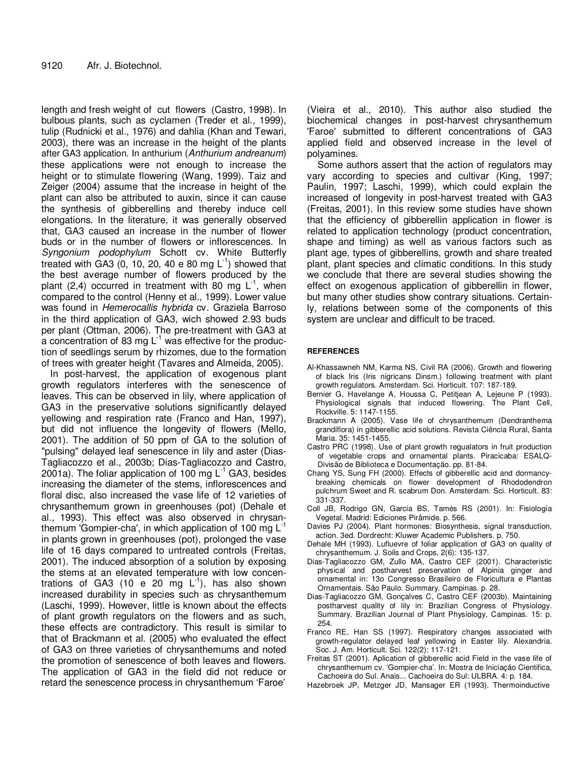length and fresh weight of cut flowers (Castro, 1998). In bulbous plants, such as cyclamen (Treder et al., 1999), tulip (Rudnicki et al., 1976) and dahlia (Khan and Tewari, 2003), there was an increase in the height of the plants after GA3 application. In anthurium (*Anthurium andreanum*) these applications were not enough to increase the height or to stimulate flowering (Wang, 1999). Taiz and Zeiger (2004) assume that the increase in height of the plant can also be attributed to auxin, since it can cause the synthesis of gibberellins and thereby induce cell elongations. In the literature, it was generally observed that, GA3 caused an increase in the number of flower buds or in the number of flowers or inflorescences. In *Syngonium podophylum* Schott cv. White Butterfly treated with GA3 (0, 10, 20, 40 e 80 mg  $L^{-1}$ ) showed that the best average number of flowers produced by the plant (2,4) occurred in treatment with 80 mg  $L^{-1}$ , when compared to the control (Henny et al., 1999). Lower value was found in *Hemerocallis hybrida* cv. Graziela Barroso in the third application of GA3, wich showed 2.93 buds per plant (Ottman, 2006). The pre-treatment with GA3 at a concentration of 83 mg L<sup>1</sup> was effective for the production of seedlings serum by rhizomes, due to the formation of trees with greater height (Tavares and Almeida, 2005).

In post-harvest, the application of exogenous plant growth regulators interferes with the senescence of leaves. This can be observed in lily, where application of GA3 in the preservative solutions significantly delayed yellowing and respiration rate (Franco and Han, 1997), but did not influence the longevity of flowers (Mello, 2001). The addition of 50 ppm of GA to the solution of "pulsing" delayed leaf senescence in lily and aster (Dias-Tagliacozzo et al., 2003b; Dias-Tagliacozzo and Castro, 2001a). The foliar application of 100 mg L<sup>-1</sup> GA3, besides increasing the diameter of the stems, inflorescences and floral disc, also increased the vase life of 12 varieties of chrysanthemum grown in greenhouses (pot) (Dehale et al., 1993). This effect was also observed in chrysanthemum 'Gompier-cha', in which application of 100 mg  $\mathsf{L}^{\text{-}1}$ in plants grown in greenhouses (pot), prolonged the vase life of 16 days compared to untreated controls (Freitas, 2001). The induced absorption of a solution by exposing the stems at an elevated temperature with low concentrations of GA3 (10 e 20 mg  $L^{-1}$ ), has also shown increased durability in species such as chrysanthemum (Laschi, 1999). However, little is known about the effects of plant growth regulators on the flowers and as such, these effects are contradictory. This result is similar to that of Brackmann et al. (2005) who evaluated the effect of GA3 on three varieties of chrysanthemums and noted the promotion of senescence of both leaves and flowers. The application of GA3 in the field did not reduce or retard the senescence process in chrysanthemum 'Faroe'

(Vieira et al., 2010). This author also studied the biochemical changes in post-harvest chrysanthemum 'Faroe' submitted to different concentrations of GA3 applied field and observed increase in the level of polyamines.

Some authors assert that the action of regulators may vary according to species and cultivar (King, 1997; Paulin, 1997; Laschi, 1999), which could explain the increased of longevity in post-harvest treated with GA3 (Freitas, 2001). In this review some studies have shown that the efficiency of gibberellin application in flower is related to application technology (product concentration, shape and timing) as well as various factors such as plant age, types of gibberellins, growth and share treated plant, plant species and climatic conditions. In this study we conclude that there are several studies showing the effect on exogenous application of gibberellin in flower, but many other studies show contrary situations. Certainly, relations between some of the components of this system are unclear and difficult to be traced.

#### **REFERENCES**

- Al-Khassawneh NM, Karma NS, Civil RA (2006). Growth and flowering of black Iris (Iris nigricans Dinsm.) following treatment with plant growth regulators. Amsterdam. Sci. Horticult. 107: 187-189.
- Bernier G, Havelange A, Houssa C, Petitjean A, Lejeune P (1993). Physiological signals that induced flowering. The Plant Cell, Rockville. 5: 1147-1155.
- Brackmann A (2005). Vase life of chrysanthemum (Dendranthema grandiflora) in gibberellic acid solutions. Revista Ciência Rural, Santa Maria. 35: 1451-1455.
- Castro PRC (1998). Use of plant growth regualators in fruit production of vegetable crops and ornamental plants. Piracicaba: ESALQ-Divisão de Biblioteca e Documentação. pp. 81-84.
- Chang YS, Sung FH (2000). Effects of gibberellic acid and dormancybreaking chemicals on flower development of Rhododendron pulchrum Sweet and R. scabrum Don. Amsterdam. Sci. Horticult. 83: 331-337.
- Coll JB, Rodrigo GN, Garcia BS, Tamés RS (2001). In: Fisiología Vegetal. Madrid: Ediciones Pirâmide. p. 566.
- Davies PJ (2004). Plant hormones: Biosynthesis, signal transduction, action. 3ed. Dordrecht: Kluwer Academic Publishers. p. 750.
- Dehale MH (1993). Lufluevre of foliar application of GA3 on quality of chrysanthemum. J. Soils and Crops, 2(6): 135-137.
- Dias-Tagliacozzo GM, Zullo MA, Castro CEF (2001). Characteristic physical and postharvest preservation of Alpinia ginger and ornamental in: 13o Congresso Brasileiro de Floricultura e Plantas Ornamentais. São Paulo. Summary. Campinas. p. 28.
- Dias-Tagliacozzo GM, Gonçalves C, Castro CEF (2003b). Maintaining postharvest quality of lily in: Brazilian Congress of Physiology. Summary. Brazilian Journal of Plant Physiology, Campinas. 15: p. 254.
- Franco RE, Han SS (1997). Respiratory changes associated with growth-regulator delayed leaf yellowing in Easter lily. Alexandria. Soc. J. Am. Horticult. Sci. 122(2): 117-121.
- Freitas ST (2001). Aplication of gibberellic acid Field in the vase life of chrysanthemum cv. 'Gompier-cha'. In: Mostra de Iniciação Cientifica, Cachoeira do Sul. Anais... Cachoeira do Sul: ULBRA. 4: p. 184.
- Hazebroek JP, Metzger JD, Mansager ER (1993). Thermoinductive